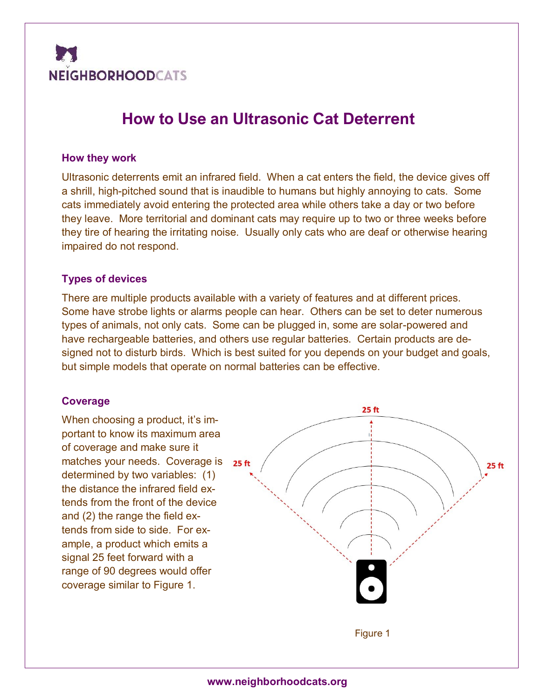

# **How to Use an Ultrasonic Cat Deterrent**

#### **How they work**

Ultrasonic deterrents emit an infrared field. When a cat enters the field, the device gives off a shrill, high-pitched sound that is inaudible to humans but highly annoying to cats. Some cats immediately avoid entering the protected area while others take a day or two before they leave. More territorial and dominant cats may require up to two or three weeks before they tire of hearing the irritating noise. Usually only cats who are deaf or otherwise hearing impaired do not respond.

#### **Types of devices**

There are multiple products available with a variety of features and at different prices. Some have strobe lights or alarms people can hear. Others can be set to deter numerous types of animals, not only cats. Some can be plugged in, some are solar-powered and have rechargeable batteries, and others use regular batteries. Certain products are designed not to disturb birds. Which is best suited for you depends on your budget and goals, but simple models that operate on normal batteries can be effective.

#### **Coverage**

When choosing a product, it's important to know its maximum area of coverage and make sure it matches your needs. Coverage is 25 ft determined by two variables: (1) the distance the infrared field extends from the front of the device and (2) the range the field extends from side to side. For example, a product which emits a signal 25 feet forward with a range of 90 degrees would offer coverage similar to Figure 1.

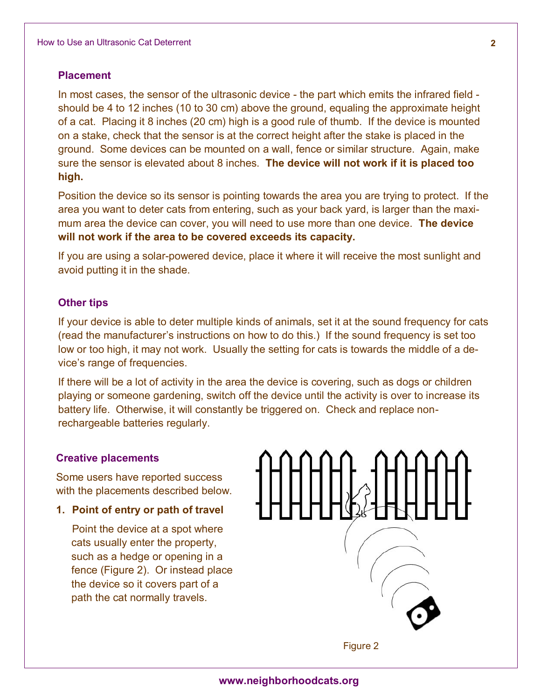#### **Placement**

In most cases, the sensor of the ultrasonic device - the part which emits the infrared field should be 4 to 12 inches (10 to 30 cm) above the ground, equaling the approximate height of a cat. Placing it 8 inches (20 cm) high is a good rule of thumb. If the device is mounted on a stake, check that the sensor is at the correct height after the stake is placed in the ground. Some devices can be mounted on a wall, fence or similar structure. Again, make sure the sensor is elevated about 8 inches. **The device will not work if it is placed too high.**

Position the device so its sensor is pointing towards the area you are trying to protect. If the area you want to deter cats from entering, such as your back yard, is larger than the maximum area the device can cover, you will need to use more than one device. **The device will not work if the area to be covered exceeds its capacity.**

If you are using a solar-powered device, place it where it will receive the most sunlight and avoid putting it in the shade.

## **Other tips**

If your device is able to deter multiple kinds of animals, set it at the sound frequency for cats (read the manufacturer's instructions on how to do this.) If the sound frequency is set too low or too high, it may not work. Usually the setting for cats is towards the middle of a device's range of frequencies.

If there will be a lot of activity in the area the device is covering, such as dogs or children playing or someone gardening, switch off the device until the activity is over to increase its battery life. Otherwise, it will constantly be triggered on. Check and replace nonrechargeable batteries regularly.

#### **Creative placements**

Some users have reported success with the placements described below.

# **1. Point of entry or path of travel**

Point the device at a spot where cats usually enter the property, such as a hedge or opening in a fence (Figure 2). Or instead place the device so it covers part of a path the cat normally travels.